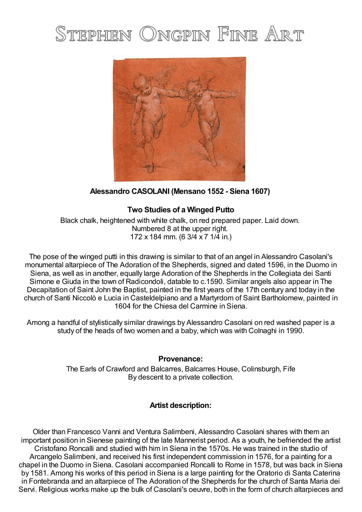## STEPHEN ONGPIN FINE ART



**Alessandro CASOLANI (Mensano 1552 - Siena 1607)**

## **Two Studies of a Winged Putto**

Black chalk, heightened with white chalk, on red prepared paper. Laid down. Numbered 8 at the upper right. 172 x 184 mm. (6 3/4 x 7 1/4 in.)

The pose of the winged putti in this drawing is similar to that of an angel in Alessandro Casolani's monumental altarpiece of The Adoration of the Shepherds, signed and dated 1596, in the Duomo in Siena, as well as in another, equally large Adoration of the Shepherds in the Collegiata dei Santi Simone e Giuda in the town of Radicondoli, datable to c.1590. Similar angels also appear in The Decapitation of Saint John the Baptist, painted in the first years of the 17th century and today in the church of Santi Niccolò e Lucia in Casteldelpiano and a Martyrdom of Saint Bartholomew, painted in 1604 for the Chiesa del Carmine in Siena.

Among a handful of stylistically similar drawings by Alessandro Casolani on red washed paper is a study of the heads of two women and a baby, which was with Colnaghi in 1990.

## **Provenance:**

The Earls of Crawford and Balcarres, Balcarres House, Colinsburgh, Fife By descent to a private collection.

## **Artist description:**

Older than Francesco Vanni and Ventura Salimbeni, Alessandro Casolani shares with them an important position in Sienese painting of the late Mannerist period. As a youth, he befriended the artist Cristofano Roncalli and studied with him in Siena in the 1570s. He was trained in the studio of Arcangelo Salimbeni, and received his first independent commission in 1576, for a painting for a chapel in the Duomo in Siena. Casolani accompanied Roncalli to Rome in 1578, but was back in Siena by 1581. Among his works of this period in Siena is a large painting for the Oratorio di Santa Caterina in Fontebranda and an altarpiece of The Adoration of the Shepherds for the church of Santa Maria dei Servi. Religious works make up the bulk of Casolani's oeuvre, both in the form of church altarpieces and